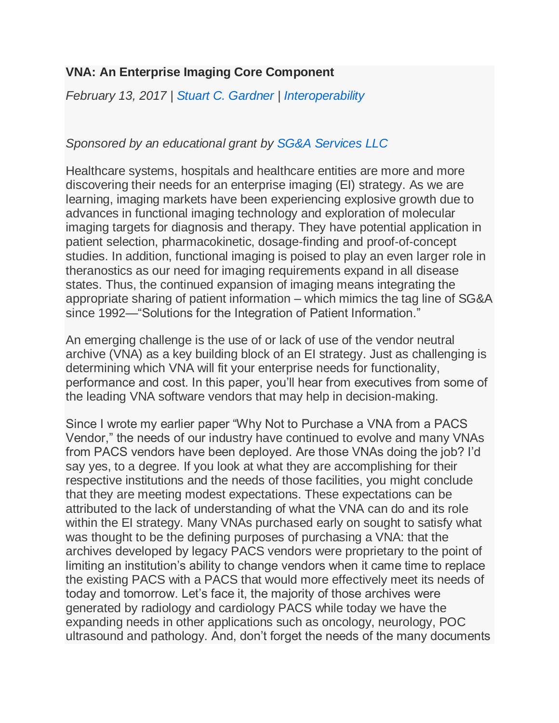## **VNA: An Enterprise Imaging Core Component**

*February 13, 2017 | Stuart C. [Gardner](https://www.clinical-innovation.com/node/81353) | [Interoperability](https://www.clinical-innovation.com/topics/interoperability)*

## *Sponsored by an educational grant by [SG&A Services LLC](https://www.clinical-innovation.com/sponsored/7487)*

Healthcare systems, hospitals and healthcare entities are more and more discovering their needs for an enterprise imaging (EI) strategy. As we are learning, imaging markets have been experiencing explosive growth due to advances in functional imaging technology and exploration of molecular imaging targets for diagnosis and therapy. They have potential application in patient selection, pharmacokinetic, dosage‐finding and proof‐of‐concept studies. In addition, functional imaging is poised to play an even larger role in theranostics as our need for imaging requirements expand in all disease states. Thus, the continued expansion of imaging means integrating the appropriate sharing of patient information – which mimics the tag line of SG&A since 1992—"Solutions for the Integration of Patient Information."

An emerging challenge is the use of or lack of use of the vendor neutral archive (VNA) as a key building block of an EI strategy. Just as challenging is determining which VNA will fit your enterprise needs for functionality, performance and cost. In this paper, you'll hear from executives from some of the leading VNA software vendors that may help in decision-making.

Since I wrote my earlier paper "Why Not to Purchase a VNA from a PACS Vendor," the needs of our industry have continued to evolve and many VNAs from PACS vendors have been deployed. Are those VNAs doing the job? I'd say yes, to a degree. If you look at what they are accomplishing for their respective institutions and the needs of those facilities, you might conclude that they are meeting modest expectations. These expectations can be attributed to the lack of understanding of what the VNA can do and its role within the EI strategy. Many VNAs purchased early on sought to satisfy what was thought to be the defining purposes of purchasing a VNA: that the archives developed by legacy PACS vendors were proprietary to the point of limiting an institution's ability to change vendors when it came time to replace the existing PACS with a PACS that would more effectively meet its needs of today and tomorrow. Let's face it, the majority of those archives were generated by radiology and cardiology PACS while today we have the expanding needs in other applications such as oncology, neurology, POC ultrasound and pathology. And, don't forget the needs of the many documents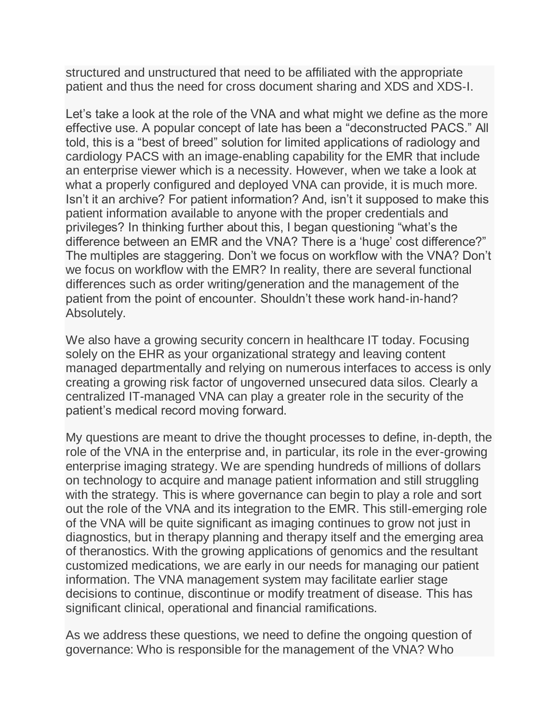structured and unstructured that need to be affiliated with the appropriate patient and thus the need for cross document sharing and XDS and XDS‐I.

Let's take a look at the role of the VNA and what might we define as the more effective use. A popular concept of late has been a "deconstructed PACS." All told, this is a "best of breed" solution for limited applications of radiology and cardiology PACS with an image-enabling capability for the EMR that include an enterprise viewer which is a necessity. However, when we take a look at what a properly configured and deployed VNA can provide, it is much more. Isn't it an archive? For patient information? And, isn't it supposed to make this patient information available to anyone with the proper credentials and privileges? In thinking further about this, I began questioning "what's the difference between an EMR and the VNA? There is a 'huge' cost difference?" The multiples are staggering. Don't we focus on workflow with the VNA? Don't we focus on workflow with the EMR? In reality, there are several functional differences such as order writing/generation and the management of the patient from the point of encounter. Shouldn't these work hand-in-hand? Absolutely.

We also have a growing security concern in healthcare IT today. Focusing solely on the EHR as your organizational strategy and leaving content managed departmentally and relying on numerous interfaces to access is only creating a growing risk factor of ungoverned unsecured data silos. Clearly a centralized IT-managed VNA can play a greater role in the security of the patient's medical record moving forward.

My questions are meant to drive the thought processes to define, in‐depth, the role of the VNA in the enterprise and, in particular, its role in the ever-growing enterprise imaging strategy. We are spending hundreds of millions of dollars on technology to acquire and manage patient information and still struggling with the strategy. This is where governance can begin to play a role and sort out the role of the VNA and its integration to the EMR. This still-emerging role of the VNA will be quite significant as imaging continues to grow not just in diagnostics, but in therapy planning and therapy itself and the emerging area of theranostics. With the growing applications of genomics and the resultant customized medications, we are early in our needs for managing our patient information. The VNA management system may facilitate earlier stage decisions to continue, discontinue or modify treatment of disease. This has significant clinical, operational and financial ramifications.

As we address these questions, we need to define the ongoing question of governance: Who is responsible for the management of the VNA? Who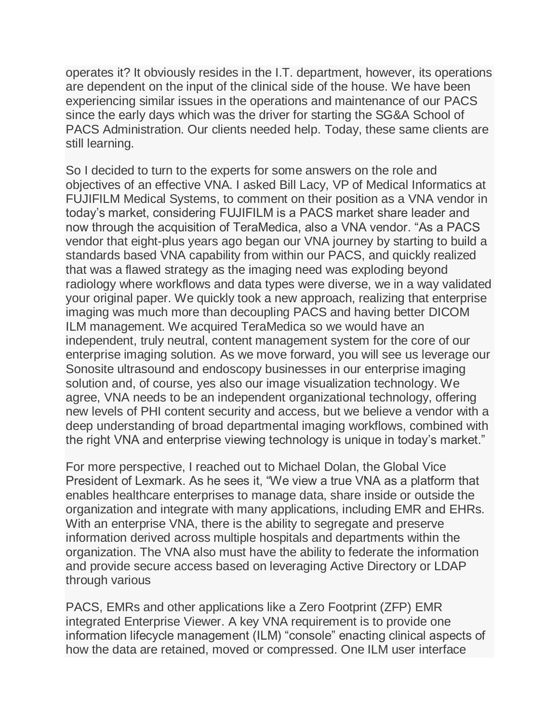operates it? It obviously resides in the I.T. department, however, its operations are dependent on the input of the clinical side of the house. We have been experiencing similar issues in the operations and maintenance of our PACS since the early days which was the driver for starting the SG&A School of PACS Administration. Our clients needed help. Today, these same clients are still learning.

So I decided to turn to the experts for some answers on the role and objectives of an effective VNA. I asked Bill Lacy, VP of Medical Informatics at FUJIFILM Medical Systems, to comment on their position as a VNA vendor in today's market, considering FUJIFILM is a PACS market share leader and now through the acquisition of TeraMedica, also a VNA vendor. "As a PACS vendor that eight-plus years ago began our VNA journey by starting to build a standards based VNA capability from within our PACS, and quickly realized that was a flawed strategy as the imaging need was exploding beyond radiology where workflows and data types were diverse, we in a way validated your original paper. We quickly took a new approach, realizing that enterprise imaging was much more than decoupling PACS and having better DICOM ILM management. We acquired TeraMedica so we would have an independent, truly neutral, content management system for the core of our enterprise imaging solution. As we move forward, you will see us leverage our Sonosite ultrasound and endoscopy businesses in our enterprise imaging solution and, of course, yes also our image visualization technology. We agree, VNA needs to be an independent organizational technology, offering new levels of PHI content security and access, but we believe a vendor with a deep understanding of broad departmental imaging workflows, combined with the right VNA and enterprise viewing technology is unique in today's market."

For more perspective, I reached out to Michael Dolan, the Global Vice President of Lexmark. As he sees it, "We view a true VNA as a platform that enables healthcare enterprises to manage data, share inside or outside the organization and integrate with many applications, including EMR and EHRs. With an enterprise VNA, there is the ability to segregate and preserve information derived across multiple hospitals and departments within the organization. The VNA also must have the ability to federate the information and provide secure access based on leveraging Active Directory or LDAP through various

PACS, EMRs and other applications like a Zero Footprint (ZFP) EMR integrated Enterprise Viewer. A key VNA requirement is to provide one information lifecycle management (ILM) "console" enacting clinical aspects of how the data are retained, moved or compressed. One ILM user interface